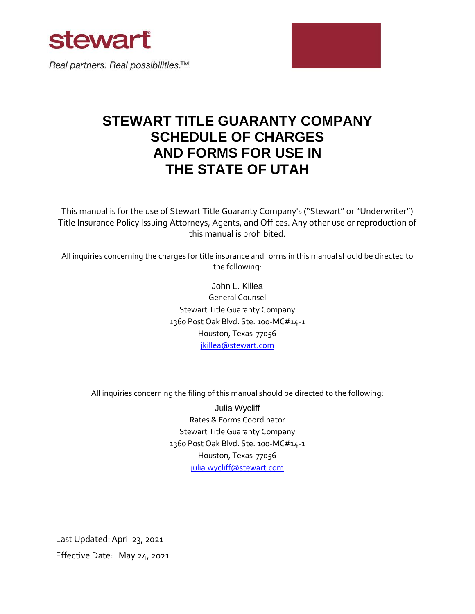

Real partners. Real possibilities.<sup>™</sup>

# **STEWART TITLE GUARANTY COMPANY SCHEDULE OF CHARGES AND FORMS FOR USE IN THE STATE OF UTAH**

This manual is for the use of Stewart Title Guaranty Company's ("Stewart" or "Underwriter") Title Insurance Policy Issuing Attorneys, Agents, and Offices. Any other use or reproduction of this manual is prohibited.

All inquiries concerning the charges for title insurance and forms in this manual should be directed to the following:

> John L. Killea General Counsel Stewart Title Guaranty Company 1360 Post Oak Blvd. Ste. 100-MC#14-1 Houston, Texas 77056 [jkillea@stewart.com](mailto:jkillea@stewart.com)

All inquiries concerning the filing of this manual should be directed to the following:

Julia Wycliff Rates & Forms Coordinator Stewart Title Guaranty Company 1360 Post Oak Blvd. Ste. 100-MC#14-1 Houston, Texas 77056 [julia.wycliff@stewart.com](mailto:bburns@stewart.com)

Last Updated:April 23, 2021 Effective Date: May 24, 2021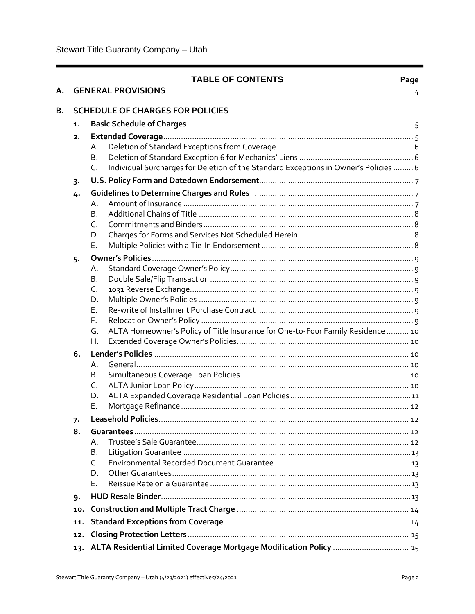| А. |       | <b>TABLE OF CONTENTS</b>                                                                   | Page |  |  |  |  |
|----|-------|--------------------------------------------------------------------------------------------|------|--|--|--|--|
| В. |       | <b>SCHEDULE OF CHARGES FOR POLICIES</b>                                                    |      |  |  |  |  |
|    | 1.    |                                                                                            |      |  |  |  |  |
|    | 2.    |                                                                                            |      |  |  |  |  |
|    |       | А.                                                                                         |      |  |  |  |  |
|    |       | В.                                                                                         |      |  |  |  |  |
|    |       | Individual Surcharges for Deletion of the Standard Exceptions in Owner's Policies  6<br>C. |      |  |  |  |  |
|    | $3 -$ |                                                                                            |      |  |  |  |  |
|    | 4.    |                                                                                            |      |  |  |  |  |
|    |       | А.                                                                                         |      |  |  |  |  |
|    |       | <b>B.</b>                                                                                  |      |  |  |  |  |
|    |       | C.                                                                                         |      |  |  |  |  |
|    |       | D.                                                                                         |      |  |  |  |  |
|    |       | Ε.                                                                                         |      |  |  |  |  |
|    | $5 -$ |                                                                                            |      |  |  |  |  |
|    |       | А.                                                                                         |      |  |  |  |  |
|    |       | В.                                                                                         |      |  |  |  |  |
|    |       | C.                                                                                         |      |  |  |  |  |
|    |       | D.                                                                                         |      |  |  |  |  |
|    |       | Е.<br>F.                                                                                   |      |  |  |  |  |
|    |       | ALTA Homeowner's Policy of Title Insurance for One-to-Four Family Residence  10<br>G.      |      |  |  |  |  |
|    |       | Н.                                                                                         |      |  |  |  |  |
|    | 6.    |                                                                                            |      |  |  |  |  |
|    |       | А.                                                                                         |      |  |  |  |  |
|    |       | Β.                                                                                         |      |  |  |  |  |
|    |       | C.                                                                                         |      |  |  |  |  |
|    |       | D.                                                                                         |      |  |  |  |  |
|    |       | Ε.                                                                                         |      |  |  |  |  |
|    | 7.    |                                                                                            |      |  |  |  |  |
|    | 8.    |                                                                                            |      |  |  |  |  |
|    |       | А.                                                                                         |      |  |  |  |  |
|    |       | В.                                                                                         |      |  |  |  |  |
|    |       | C.                                                                                         |      |  |  |  |  |
|    |       | D.                                                                                         |      |  |  |  |  |
|    |       | Е.                                                                                         |      |  |  |  |  |
|    | 9.    |                                                                                            |      |  |  |  |  |
|    | 10.   |                                                                                            |      |  |  |  |  |
|    | 11.   |                                                                                            |      |  |  |  |  |
|    | 12.   |                                                                                            |      |  |  |  |  |
|    | 13.   | ALTA Residential Limited Coverage Mortgage Modification Policy  15                         |      |  |  |  |  |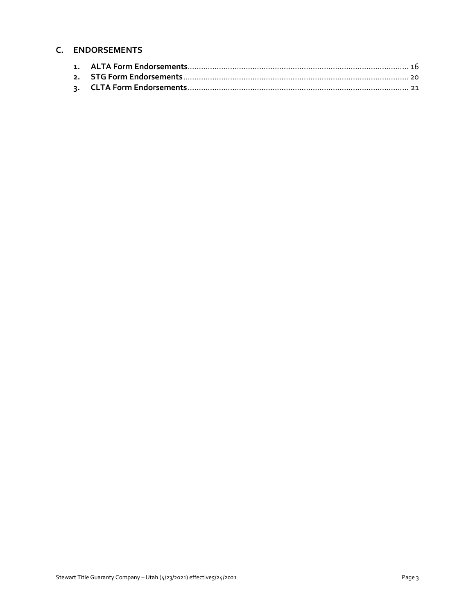# **C. ENDORSEMENTS**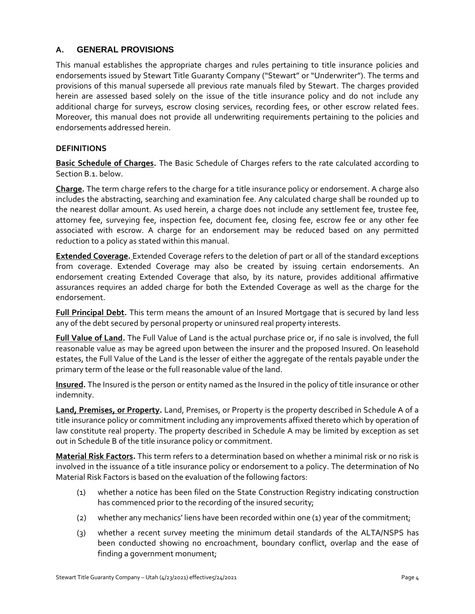# **A. GENERAL PROVISIONS**

This manual establishes the appropriate charges and rules pertaining to title insurance policies and endorsements issued by Stewart Title Guaranty Company ("Stewart" or "Underwriter"). The terms and provisions of this manual supersede all previous rate manuals filed by Stewart. The charges provided herein are assessed based solely on the issue of the title insurance policy and do not include any additional charge for surveys, escrow closing services, recording fees, or other escrow related fees. Moreover, this manual does not provide all underwriting requirements pertaining to the policies and endorsements addressed herein.

#### **DEFINITIONS**

**Basic Schedule of Charges.** The Basic Schedule of Charges refers to the rate calculated according to Section B.1. below.

**Charge.** The term charge refers to the charge for a title insurance policy or endorsement. A charge also includes the abstracting, searching and examination fee. Any calculated charge shall be rounded up to the nearest dollar amount. As used herein, a charge does not include any settlement fee, trustee fee, attorney fee, surveying fee, inspection fee, document fee, closing fee, escrow fee or any other fee associated with escrow. A charge for an endorsement may be reduced based on any permitted reduction to a policy as stated within this manual.

**Extended Coverage.** Extended Coverage refers to the deletion of part or all of the standard exceptions from coverage. Extended Coverage may also be created by issuing certain endorsements. An endorsement creating Extended Coverage that also, by its nature, provides additional affirmative assurances requires an added charge for both the Extended Coverage as well as the charge for the endorsement.

**Full Principal Debt.** This term means the amount of an Insured Mortgage that is secured by land less any of the debt secured by personal property or uninsured real property interests.

**Full Value of Land.** The Full Value of Land is the actual purchase price or, if no sale is involved, the full reasonable value as may be agreed upon between the insurer and the proposed Insured. On leasehold estates, the Full Value of the Land is the lesser of either the aggregate of the rentals payable under the primary term of the lease or the full reasonable value of the land.

**Insured.** The Insured is the person or entity named as the Insured in the policy of title insurance or other indemnity.

**Land, Premises, or Property.** Land, Premises, or Property is the property described in Schedule A of a title insurance policy or commitment including any improvements affixed thereto which by operation of law constitute real property. The property described in Schedule A may be limited by exception as set out in Schedule B of the title insurance policy or commitment.

**Material Risk Factors.** This term refers to a determination based on whether a minimal risk or no risk is involved in the issuance of a title insurance policy or endorsement to a policy. The determination of No Material Risk Factors is based on the evaluation of the following factors:

- (1) whether a notice has been filed on the State Construction Registry indicating construction has commenced prior to the recording of the insured security;
- (2) whether any mechanics' liens have been recorded within one (1) year of the commitment;
- (3) whether a recent survey meeting the minimum detail standards of the ALTA/NSPS has been conducted showing no encroachment, boundary conflict, overlap and the ease of finding a government monument;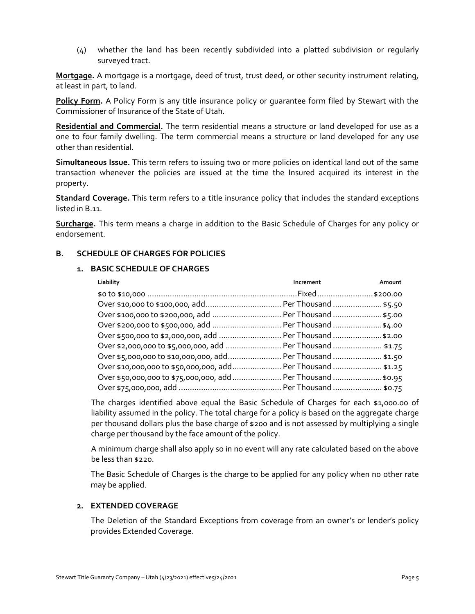(4) whether the land has been recently subdivided into a platted subdivision or regularly surveyed tract.

**Mortgage.** A mortgage is a mortgage, deed of trust, trust deed, or other security instrument relating, at least in part, to land.

**Policy Form.** A Policy Form is any title insurance policy or guarantee form filed by Stewart with the Commissioner of Insurance of the State of Utah.

**Residential and Commercial.** The term residential means a structure or land developed for use as a one to four family dwelling. The term commercial means a structure or land developed for any use other than residential.

**Simultaneous Issue.** This term refers to issuing two or more policies on identical land out of the same transaction whenever the policies are issued at the time the Insured acquired its interest in the property.

**Standard Coverage.** This term refers to a title insurance policy that includes the standard exceptions listed in B.11.

**Surcharge.** This term means a charge in addition to the Basic Schedule of Charges for any policy or endorsement.

#### **B. SCHEDULE OF CHARGES FOR POLICIES**

#### **1. BASIC SCHEDULE OF CHARGES**

| Liability                                                    | Increment | Amount |
|--------------------------------------------------------------|-----------|--------|
|                                                              |           |        |
|                                                              |           |        |
| Over \$100,000 to \$200,000, add  Per Thousand  \$5.00       |           |        |
| Over \$200,000 to \$500,000, add  Per Thousand \$4.00        |           |        |
| Over \$500,000 to \$2,000,000, add  Per Thousand \$2.00      |           |        |
| Over \$2,000,000 to \$5,000,000, add  Per Thousand  \$1.75   |           |        |
| Over \$5,000,000 to \$10,000,000, add Per Thousand  \$1.50   |           |        |
| Over \$10,000,000 to \$50,000,000, add Per Thousand  \$1.25  |           |        |
| Over \$50,000,000 to \$75,000,000, add  Per Thousand  \$0.95 |           |        |
|                                                              |           |        |

The charges identified above equal the Basic Schedule of Charges for each \$1,000.00 of liability assumed in the policy. The total charge for a policy is based on the aggregate charge per thousand dollars plus the base charge of \$200 and is not assessed by multiplying a single charge per thousand by the face amount of the policy.

A minimum charge shall also apply so in no event will any rate calculated based on the above be less than \$220.

The Basic Schedule of Charges is the charge to be applied for any policy when no other rate may be applied.

# **2. EXTENDED COVERAGE**

The Deletion of the Standard Exceptions from coverage from an owner's or lender's policy provides Extended Coverage.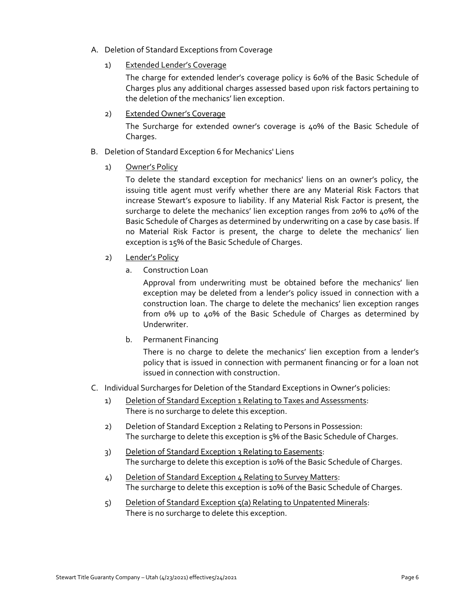- A. Deletion of Standard Exceptions from Coverage
	- 1) Extended Lender's Coverage

The charge for extended lender's coverage policy is 60% of the Basic Schedule of Charges plus any additional charges assessed based upon risk factors pertaining to the deletion of the mechanics' lien exception.

2) Extended Owner's Coverage

The Surcharge for extended owner's coverage is 40% of the Basic Schedule of Charges.

- B. Deletion of Standard Exception 6 for Mechanics' Liens
	- 1) Owner's Policy

To delete the standard exception for mechanics' liens on an owner's policy, the issuing title agent must verify whether there are any Material Risk Factors that increase Stewart's exposure to liability. If any Material Risk Factor is present, the surcharge to delete the mechanics' lien exception ranges from 20% to 40% of the Basic Schedule of Charges as determined by underwriting on a case by case basis. If no Material Risk Factor is present, the charge to delete the mechanics' lien exception is 15% of the Basic Schedule of Charges.

- 2) Lender's Policy
	- a. Construction Loan

Approval from underwriting must be obtained before the mechanics' lien exception may be deleted from a lender's policy issued in connection with a construction loan. The charge to delete the mechanics' lien exception ranges from 0% up to 40% of the Basic Schedule of Charges as determined by Underwriter.

b. Permanent Financing

There is no charge to delete the mechanics' lien exception from a lender's policy that is issued in connection with permanent financing or for a loan not issued in connection with construction.

- C. Individual Surcharges for Deletion of the Standard Exceptions in Owner's policies:
	- 1) Deletion of Standard Exception 1 Relating to Taxes and Assessments: There is no surcharge to delete this exception.
	- 2) Deletion of Standard Exception 2 Relating to Persons in Possession: The surcharge to delete this exception is 5% of the Basic Schedule of Charges.
	- 3) Deletion of Standard Exception 3 Relating to Easements: The surcharge to delete this exception is 10% of the Basic Schedule of Charges.
	- 4) Deletion of Standard Exception 4 Relating to Survey Matters: The surcharge to delete this exception is 10% of the Basic Schedule of Charges.
	- 5) Deletion of Standard Exception 5(a) Relating to Unpatented Minerals: There is no surcharge to delete this exception.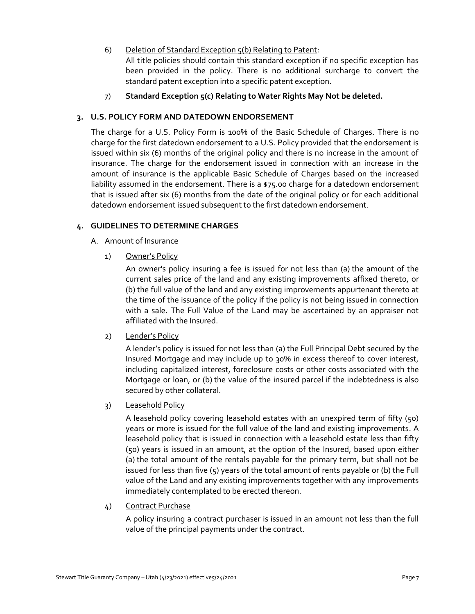#### 6) Deletion of Standard Exception 5(b) Relating to Patent:

All title policies should contain this standard exception if no specific exception has been provided in the policy. There is no additional surcharge to convert the standard patent exception into a specific patent exception.

# 7) **Standard Exception 5(c) Relating to Water Rights May Not be deleted.**

#### **3. U.S. POLICY FORM AND DATEDOWN ENDORSEMENT**

The charge for a U.S. Policy Form is 100% of the Basic Schedule of Charges. There is no charge for the first datedown endorsement to a U.S. Policy provided that the endorsement is issued within six (6) months of the original policy and there is no increase in the amount of insurance. The charge for the endorsement issued in connection with an increase in the amount of insurance is the applicable Basic Schedule of Charges based on the increased liability assumed in the endorsement. There is a \$75.00 charge for a datedown endorsement that is issued after six (6) months from the date of the original policy or for each additional datedown endorsement issued subsequent to the first datedown endorsement.

#### **4. GUIDELINES TO DETERMINE CHARGES**

- A. Amount of Insurance
	- 1) Owner's Policy

An owner's policy insuring a fee is issued for not less than (a) the amount of the current sales price of the land and any existing improvements affixed thereto, or (b) the full value of the land and any existing improvements appurtenant thereto at the time of the issuance of the policy if the policy is not being issued in connection with a sale. The Full Value of the Land may be ascertained by an appraiser not affiliated with the Insured.

#### 2) Lender's Policy

A lender's policy is issued for not less than (a) the Full Principal Debt secured by the Insured Mortgage and may include up to 30% in excess thereof to cover interest, including capitalized interest, foreclosure costs or other costs associated with the Mortgage or loan, or (b) the value of the insured parcel if the indebtedness is also secured by other collateral.

#### 3) Leasehold Policy

A leasehold policy covering leasehold estates with an unexpired term of fifty (50) years or more is issued for the full value of the land and existing improvements. A leasehold policy that is issued in connection with a leasehold estate less than fifty (50) years is issued in an amount, at the option of the Insured, based upon either (a) the total amount of the rentals payable for the primary term, but shall not be issued for less than five (5) years of the total amount of rents payable or (b) the Full value of the Land and any existing improvements together with any improvements immediately contemplated to be erected thereon.

#### 4) Contract Purchase

A policy insuring a contract purchaser is issued in an amount not less than the full value of the principal payments under the contract.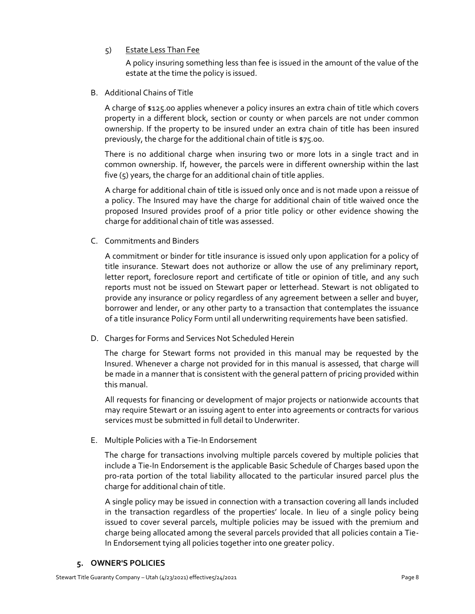5) Estate Less Than Fee

A policy insuring something less than fee is issued in the amount of the value of the estate at the time the policy is issued.

B. Additional Chains of Title

A charge of \$125.00 applies whenever a policy insures an extra chain of title which covers property in a different block, section or county or when parcels are not under common ownership. If the property to be insured under an extra chain of title has been insured previously, the charge for the additional chain of title is \$75.00.

There is no additional charge when insuring two or more lots in a single tract and in common ownership. If, however, the parcels were in different ownership within the last five (5) years, the charge for an additional chain of title applies.

A charge for additional chain of title is issued only once and is not made upon a reissue of a policy. The Insured may have the charge for additional chain of title waived once the proposed Insured provides proof of a prior title policy or other evidence showing the charge for additional chain of title was assessed.

C. Commitments and Binders

A commitment or binder for title insurance is issued only upon application for a policy of title insurance. Stewart does not authorize or allow the use of any preliminary report, letter report, foreclosure report and certificate of title or opinion of title, and any such reports must not be issued on Stewart paper or letterhead. Stewart is not obligated to provide any insurance or policy regardless of any agreement between a seller and buyer, borrower and lender, or any other party to a transaction that contemplates the issuance of a title insurance Policy Form until all underwriting requirements have been satisfied.

D. Charges for Forms and Services Not Scheduled Herein

The charge for Stewart forms not provided in this manual may be requested by the Insured. Whenever a charge not provided for in this manual is assessed, that charge will be made in a manner that is consistent with the general pattern of pricing provided within this manual.

All requests for financing or development of major projects or nationwide accounts that may require Stewart or an issuing agent to enter into agreements or contracts for various services must be submitted in full detail to Underwriter.

E. Multiple Policies with a Tie-In Endorsement

The charge for transactions involving multiple parcels covered by multiple policies that include a Tie-In Endorsement is the applicable Basic Schedule of Charges based upon the pro-rata portion of the total liability allocated to the particular insured parcel plus the charge for additional chain of title.

A single policy may be issued in connection with a transaction covering all lands included in the transaction regardless of the properties' locale. In lieu of a single policy being issued to cover several parcels, multiple policies may be issued with the premium and charge being allocated among the several parcels provided that all policies contain a Tie-In Endorsement tying all policies together into one greater policy.

# **5. OWNER'S POLICIES**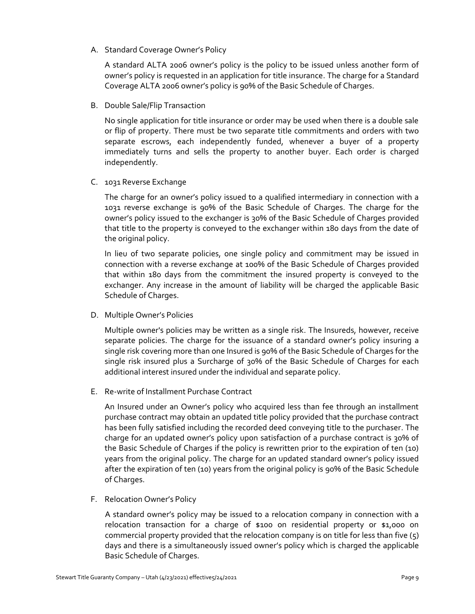A. Standard Coverage Owner's Policy

A standard ALTA 2006 owner's policy is the policy to be issued unless another form of owner's policy is requested in an application for title insurance. The charge for a Standard Coverage ALTA 2006 owner's policy is 90% of the Basic Schedule of Charges.

B. Double Sale/Flip Transaction

No single application for title insurance or order may be used when there is a double sale or flip of property. There must be two separate title commitments and orders with two separate escrows, each independently funded, whenever a buyer of a property immediately turns and sells the property to another buyer. Each order is charged independently.

C. 1031 Reverse Exchange

The charge for an owner's policy issued to a qualified intermediary in connection with a 1031 reverse exchange is 90% of the Basic Schedule of Charges. The charge for the owner's policy issued to the exchanger is 30% of the Basic Schedule of Charges provided that title to the property is conveyed to the exchanger within 180 days from the date of the original policy.

In lieu of two separate policies, one single policy and commitment may be issued in connection with a reverse exchange at 100% of the Basic Schedule of Charges provided that within 180 days from the commitment the insured property is conveyed to the exchanger. Any increase in the amount of liability will be charged the applicable Basic Schedule of Charges.

D. Multiple Owner's Policies

Multiple owner's policies may be written as a single risk. The Insureds, however, receive separate policies. The charge for the issuance of a standard owner's policy insuring a single risk covering more than one Insured is 90% of the Basic Schedule of Charges for the single risk insured plus a Surcharge of 30% of the Basic Schedule of Charges for each additional interest insured under the individual and separate policy.

E. Re-write of Installment Purchase Contract

An Insured under an Owner's policy who acquired less than fee through an installment purchase contract may obtain an updated title policy provided that the purchase contract has been fully satisfied including the recorded deed conveying title to the purchaser. The charge for an updated owner's policy upon satisfaction of a purchase contract is 30% of the Basic Schedule of Charges if the policy is rewritten prior to the expiration of ten (10) years from the original policy. The charge for an updated standard owner's policy issued after the expiration of ten (10) years from the original policy is 90% of the Basic Schedule of Charges.

F. Relocation Owner's Policy

A standard owner's policy may be issued to a relocation company in connection with a relocation transaction for a charge of \$100 on residential property or \$1,000 on commercial property provided that the relocation company is on title for less than five (5) days and there is a simultaneously issued owner's policy which is charged the applicable Basic Schedule of Charges.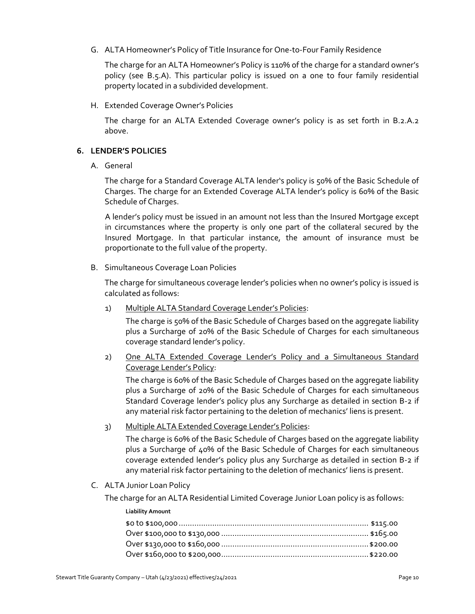G. ALTA Homeowner's Policy of Title Insurance for One-to-Four Family Residence

The charge for an ALTA Homeowner's Policy is 110% of the charge for a standard owner's policy (see B.5.A). This particular policy is issued on a one to four family residential property located in a subdivided development.

H. Extended Coverage Owner's Policies

The charge for an ALTA Extended Coverage owner's policy is as set forth in B.2.A.2 above.

#### **6. LENDER'S POLICIES**

A. General

The charge for a Standard Coverage ALTA lender's policy is 50% of the Basic Schedule of Charges. The charge for an Extended Coverage ALTA lender's policy is 60% of the Basic Schedule of Charges.

A lender's policy must be issued in an amount not less than the Insured Mortgage except in circumstances where the property is only one part of the collateral secured by the Insured Mortgage. In that particular instance, the amount of insurance must be proportionate to the full value of the property.

B. Simultaneous Coverage Loan Policies

The charge for simultaneous coverage lender's policies when no owner's policy is issued is calculated as follows:

1) Multiple ALTA Standard Coverage Lender's Policies:

The charge is 50% of the Basic Schedule of Charges based on the aggregate liability plus a Surcharge of 20% of the Basic Schedule of Charges for each simultaneous coverage standard lender's policy.

2) One ALTA Extended Coverage Lender's Policy and a Simultaneous Standard Coverage Lender's Policy:

The charge is 60% of the Basic Schedule of Charges based on the aggregate liability plus a Surcharge of 20% of the Basic Schedule of Charges for each simultaneous Standard Coverage lender's policy plus any Surcharge as detailed in section B-2 if any material risk factor pertaining to the deletion of mechanics' liens is present.

3) Multiple ALTA Extended Coverage Lender's Policies:

The charge is 60% of the Basic Schedule of Charges based on the aggregate liability plus a Surcharge of 40% of the Basic Schedule of Charges for each simultaneous coverage extended lender's policy plus any Surcharge as detailed in section B-2 if any material risk factor pertaining to the deletion of mechanics' liens is present.

C. ALTA Junior Loan Policy

The charge for an ALTA Residential Limited Coverage Junior Loan policy is as follows:

| <b>Liability Amount</b> |  |
|-------------------------|--|
|                         |  |
|                         |  |
|                         |  |
|                         |  |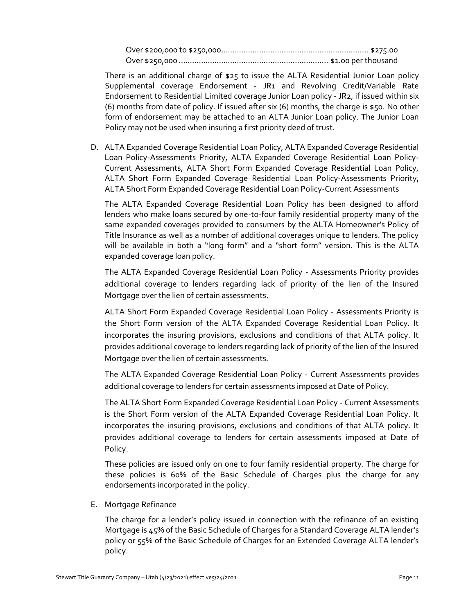Over \$200,000 to \$250,000.................................................................. \$275.00 Over \$250,000 ................................................................... \$1.00 per thousand

There is an additional charge of \$25 to issue the ALTA Residential Junior Loan policy Supplemental coverage Endorsement - JR1 and Revolving Credit/Variable Rate Endorsement to Residential Limited coverage Junior Loan policy - JR2, if issued within six (6) months from date of policy. If issued after six (6) months, the charge is \$50. No other form of endorsement may be attached to an ALTA Junior Loan policy. The Junior Loan Policy may not be used when insuring a first priority deed of trust.

D. ALTA Expanded Coverage Residential Loan Policy, ALTA Expanded Coverage Residential Loan Policy-Assessments Priority, ALTA Expanded Coverage Residential Loan Policy-Current Assessments, ALTA Short Form Expanded Coverage Residential Loan Policy, ALTA Short Form Expanded Coverage Residential Loan Policy-Assessments Priority, ALTA Short Form Expanded Coverage Residential Loan Policy-Current Assessments

The ALTA Expanded Coverage Residential Loan Policy has been designed to afford lenders who make loans secured by one-to-four family residential property many of the same expanded coverages provided to consumers by the ALTA Homeowner's Policy of Title Insurance as well as a number of additional coverages unique to lenders. The policy will be available in both a "long form" and a "short form" version. This is the ALTA expanded coverage loan policy.

The ALTA Expanded Coverage Residential Loan Policy - Assessments Priority provides additional coverage to lenders regarding lack of priority of the lien of the Insured Mortgage over the lien of certain assessments.

ALTA Short Form Expanded Coverage Residential Loan Policy - Assessments Priority is the Short Form version of the ALTA Expanded Coverage Residential Loan Policy. It incorporates the insuring provisions, exclusions and conditions of that ALTA policy. It provides additional coverage to lenders regarding lack of priority of the lien of the Insured Mortgage over the lien of certain assessments.

The ALTA Expanded Coverage Residential Loan Policy - Current Assessments provides additional coverage to lenders for certain assessments imposed at Date of Policy.

The ALTA Short Form Expanded Coverage Residential Loan Policy - Current Assessments is the Short Form version of the ALTA Expanded Coverage Residential Loan Policy. It incorporates the insuring provisions, exclusions and conditions of that ALTA policy. It provides additional coverage to lenders for certain assessments imposed at Date of Policy.

These policies are issued only on one to four family residential property. The charge for these policies is 60% of the Basic Schedule of Charges plus the charge for any endorsements incorporated in the policy.

E. Mortgage Refinance

The charge for a lender's policy issued in connection with the refinance of an existing Mortgage is 45% of the Basic Schedule of Charges for a Standard Coverage ALTA lender's policy or 55% of the Basic Schedule of Charges for an Extended Coverage ALTA lender's policy.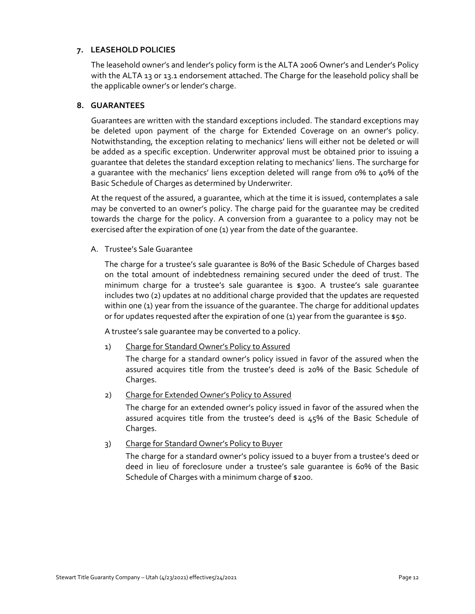#### **7. LEASEHOLD POLICIES**

The leasehold owner's and lender's policy form is the ALTA 2006 Owner's and Lender's Policy with the ALTA 13 or 13.1 endorsement attached. The Charge for the leasehold policy shall be the applicable owner's or lender's charge.

#### **8. GUARANTEES**

Guarantees are written with the standard exceptions included. The standard exceptions may be deleted upon payment of the charge for Extended Coverage on an owner's policy. Notwithstanding, the exception relating to mechanics' liens will either not be deleted or will be added as a specific exception. Underwriter approval must be obtained prior to issuing a guarantee that deletes the standard exception relating to mechanics' liens. The surcharge for a guarantee with the mechanics' liens exception deleted will range from 0% to 40% of the Basic Schedule of Charges as determined by Underwriter.

At the request of the assured, a guarantee, which at the time it is issued, contemplates a sale may be converted to an owner's policy. The charge paid for the guarantee may be credited towards the charge for the policy. A conversion from a guarantee to a policy may not be exercised after the expiration of one (1) year from the date of the quarantee.

A. Trustee's Sale Guarantee

The charge for a trustee's sale guarantee is 80% of the Basic Schedule of Charges based on the total amount of indebtedness remaining secured under the deed of trust. The minimum charge for a trustee's sale guarantee is \$300. A trustee's sale guarantee includes two (2) updates at no additional charge provided that the updates are requested within one (1) year from the issuance of the quarantee. The charge for additional updates or for updates requested after the expiration of one (1) year from the quarantee is  $$50.$ 

A trustee's sale guarantee may be converted to a policy.

1) Charge for Standard Owner's Policy to Assured

The charge for a standard owner's policy issued in favor of the assured when the assured acquires title from the trustee's deed is 20% of the Basic Schedule of Charges.

2) Charge for Extended Owner's Policy to Assured

The charge for an extended owner's policy issued in favor of the assured when the assured acquires title from the trustee's deed is 45% of the Basic Schedule of Charges.

3) Charge for Standard Owner's Policy to Buyer

The charge for a standard owner's policy issued to a buyer from a trustee's deed or deed in lieu of foreclosure under a trustee's sale guarantee is 60% of the Basic Schedule of Charges with a minimum charge of \$200.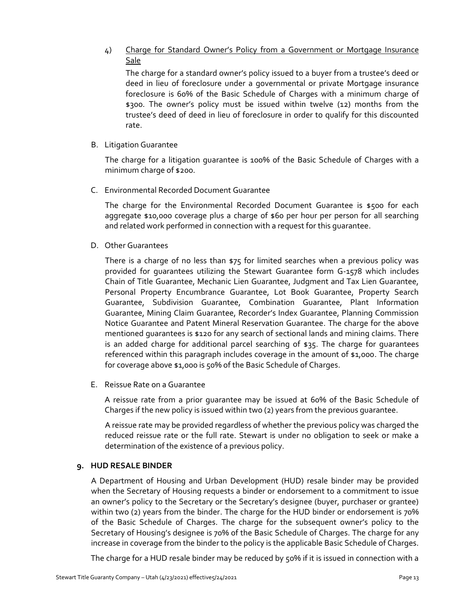# 4) Charge for Standard Owner's Policy from a Government or Mortgage Insurance Sale

The charge for a standard owner's policy issued to a buyer from a trustee's deed or deed in lieu of foreclosure under a governmental or private Mortgage insurance foreclosure is 60% of the Basic Schedule of Charges with a minimum charge of \$300. The owner's policy must be issued within twelve (12) months from the trustee's deed of deed in lieu of foreclosure in order to qualify for this discounted rate.

B. Litigation Guarantee

The charge for a litigation guarantee is 100% of the Basic Schedule of Charges with a minimum charge of \$200.

C. Environmental Recorded Document Guarantee

The charge for the Environmental Recorded Document Guarantee is \$500 for each aggregate \$10,000 coverage plus a charge of \$60 per hour per person for all searching and related work performed in connection with a request for this guarantee.

D. Other Guarantees

There is a charge of no less than \$75 for limited searches when a previous policy was provided for guarantees utilizing the Stewart Guarantee form G-1578 which includes Chain of Title Guarantee, Mechanic Lien Guarantee, Judgment and Tax Lien Guarantee, Personal Property Encumbrance Guarantee, Lot Book Guarantee, Property Search Guarantee, Subdivision Guarantee, Combination Guarantee, Plant Information Guarantee, Mining Claim Guarantee, Recorder's Index Guarantee, Planning Commission Notice Guarantee and Patent Mineral Reservation Guarantee. The charge for the above mentioned guarantees is \$120 for any search of sectional lands and mining claims. There is an added charge for additional parcel searching of \$35. The charge for guarantees referenced within this paragraph includes coverage in the amount of \$1,000. The charge for coverage above \$1,000 is 50% of the Basic Schedule of Charges.

E. Reissue Rate on a Guarantee

A reissue rate from a prior guarantee may be issued at 60% of the Basic Schedule of Charges if the new policy is issued within two (2) years from the previous guarantee.

A reissue rate may be provided regardless of whether the previous policy was charged the reduced reissue rate or the full rate. Stewart is under no obligation to seek or make a determination of the existence of a previous policy.

# **9. HUD RESALE BINDER**

A Department of Housing and Urban Development (HUD) resale binder may be provided when the Secretary of Housing requests a binder or endorsement to a commitment to issue an owner's policy to the Secretary or the Secretary's designee (buyer, purchaser or grantee) within two (2) years from the binder. The charge for the HUD binder or endorsement is 70% of the Basic Schedule of Charges. The charge for the subsequent owner's policy to the Secretary of Housing's designee is 70% of the Basic Schedule of Charges. The charge for any increase in coverage from the binder to the policy is the applicable Basic Schedule of Charges.

The charge for a HUD resale binder may be reduced by 50% if it is issued in connection with a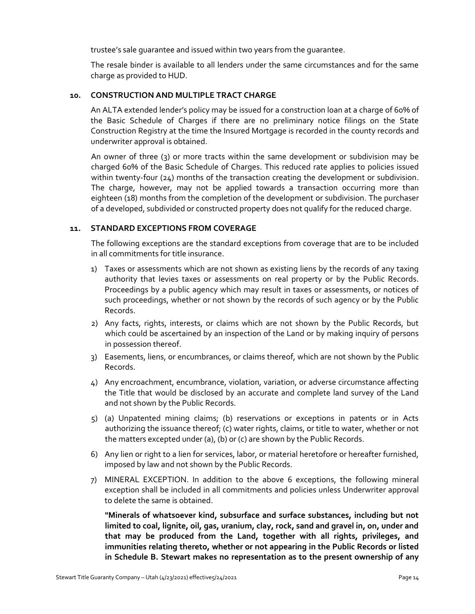trustee's sale guarantee and issued within two years from the guarantee.

The resale binder is available to all lenders under the same circumstances and for the same charge as provided to HUD.

#### **10. CONSTRUCTION AND MULTIPLE TRACT CHARGE**

An ALTA extended lender's policy may be issued for a construction loan at a charge of 60% of the Basic Schedule of Charges if there are no preliminary notice filings on the State Construction Registry at the time the Insured Mortgage is recorded in the county records and underwriter approval is obtained.

An owner of three (3) or more tracts within the same development or subdivision may be charged 60% of the Basic Schedule of Charges. This reduced rate applies to policies issued within twenty-four (24) months of the transaction creating the development or subdivision. The charge, however, may not be applied towards a transaction occurring more than eighteen (18) months from the completion of the development or subdivision. The purchaser of a developed, subdivided or constructed property does not qualify for the reduced charge.

#### **11. STANDARD EXCEPTIONS FROM COVERAGE**

The following exceptions are the standard exceptions from coverage that are to be included in all commitments for title insurance.

- 1) Taxes or assessments which are not shown as existing liens by the records of any taxing authority that levies taxes or assessments on real property or by the Public Records. Proceedings by a public agency which may result in taxes or assessments, or notices of such proceedings, whether or not shown by the records of such agency or by the Public Records.
- 2) Any facts, rights, interests, or claims which are not shown by the Public Records, but which could be ascertained by an inspection of the Land or by making inquiry of persons in possession thereof.
- 3) Easements, liens, or encumbrances, or claims thereof, which are not shown by the Public Records.
- 4) Any encroachment, encumbrance, violation, variation, or adverse circumstance affecting the Title that would be disclosed by an accurate and complete land survey of the Land and not shown by the Public Records.
- 5) (a) Unpatented mining claims; (b) reservations or exceptions in patents or in Acts authorizing the issuance thereof; (c) water rights, claims, or title to water, whether or not the matters excepted under (a), (b) or (c) are shown by the Public Records.
- 6) Any lien or right to a lien for services, labor, or material heretofore or hereafter furnished, imposed by law and not shown by the Public Records.
- 7) MINERAL EXCEPTION. In addition to the above 6 exceptions, the following mineral exception shall be included in all commitments and policies unless Underwriter approval to delete the same is obtained.

**"Minerals of whatsoever kind, subsurface and surface substances, including but not limited to coal, lignite, oil, gas, uranium, clay, rock, sand and gravel in, on, under and that may be produced from the Land, together with all rights, privileges, and immunities relating thereto, whether or not appearing in the Public Records or listed in Schedule B. Stewart makes no representation as to the present ownership of any**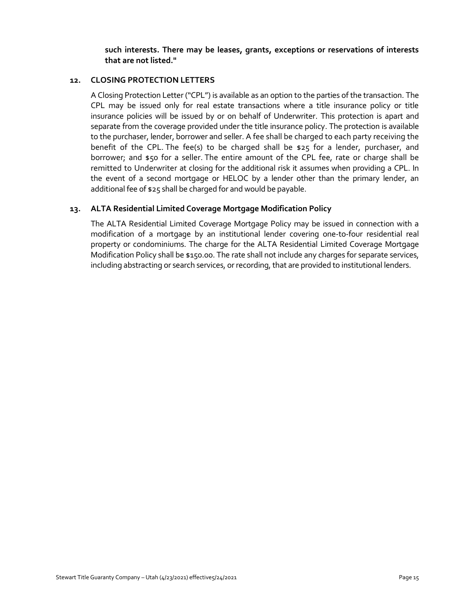#### **such interests. There may be leases, grants, exceptions or reservations of interests that are not listed."**

#### **12. CLOSING PROTECTION LETTERS**

A Closing Protection Letter ("CPL") is available as an option to the parties of the transaction. The CPL may be issued only for real estate transactions where a title insurance policy or title insurance policies will be issued by or on behalf of Underwriter. This protection is apart and separate from the coverage provided under the title insurance policy. The protection is available to the purchaser, lender, borrower and seller. A fee shall be charged to each party receiving the benefit of the CPL. The fee(s) to be charged shall be \$25 for a lender, purchaser, and borrower; and \$50 for a seller. The entire amount of the CPL fee, rate or charge shall be remitted to Underwriter at closing for the additional risk it assumes when providing a CPL. In the event of a second mortgage or HELOC by a lender other than the primary lender, an additional fee of \$25 shall be charged for and would be payable.

#### **13. ALTA Residential Limited Coverage Mortgage Modification Policy**

The ALTA Residential Limited Coverage Mortgage Policy may be issued in connection with a modification of a mortgage by an institutional lender covering one-to-four residential real property or condominiums. The charge for the ALTA Residential Limited Coverage Mortgage Modification Policy shall be \$150.00. The rate shall not include any charges for separate services, including abstracting or search services, or recording, that are provided to institutional lenders.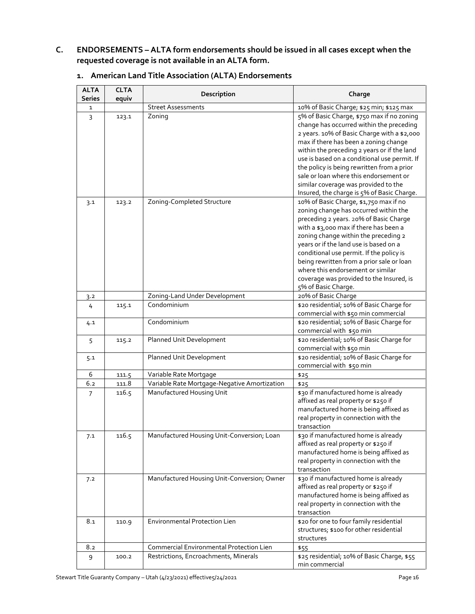# **C. ENDORSEMENTS – ALTA form endorsements should be issued in all cases except when the requested coverage is not available in an ALTA form.**

| <b>ALTA</b><br>Series | <b>CLTA</b> | Description                                  | Charge                                                                                                                                                                                                                                  |
|-----------------------|-------------|----------------------------------------------|-----------------------------------------------------------------------------------------------------------------------------------------------------------------------------------------------------------------------------------------|
| $\mathbf{1}$          | equiv       | <b>Street Assessments</b>                    | 10% of Basic Charge; \$25 min; \$125 max                                                                                                                                                                                                |
| 3                     | 123.1       | Zoning                                       | 5% of Basic Charge, \$750 max if no zoning<br>change has occurred within the preceding                                                                                                                                                  |
|                       |             |                                              | 2 years. 10% of Basic Charge with a \$2,000<br>max if there has been a zoning change                                                                                                                                                    |
|                       |             |                                              | within the preceding 2 years or if the land<br>use is based on a conditional use permit. If<br>the policy is being rewritten from a prior                                                                                               |
|                       |             |                                              | sale or loan where this endorsement or<br>similar coverage was provided to the                                                                                                                                                          |
|                       |             |                                              | Insured, the charge is 5% of Basic Charge.                                                                                                                                                                                              |
| 3.1                   | 123.2       | Zoning-Completed Structure                   | 10% of Basic Charge, \$1,750 max if no<br>zoning change has occurred within the<br>preceding 2 years. 20% of Basic Charge<br>with a \$3,000 max if there has been a<br>zoning change within the preceding 2                             |
|                       |             |                                              | years or if the land use is based on a<br>conditional use permit. If the policy is<br>being rewritten from a prior sale or loan<br>where this endorsement or similar<br>coverage was provided to the Insured, is<br>5% of Basic Charge. |
| 3.2                   |             | Zoning-Land Under Development                | 20% of Basic Charge                                                                                                                                                                                                                     |
| 4                     | 115.1       | Condominium                                  | \$20 residential; 10% of Basic Charge for<br>commercial with \$50 min commercial                                                                                                                                                        |
| 4.1                   |             | Condominium                                  | \$20 residential; 10% of Basic Charge for<br>commercial with \$50 min                                                                                                                                                                   |
| 5                     | 115.2       | Planned Unit Development                     | \$20 residential; 10% of Basic Charge for<br>commercial with \$50 min                                                                                                                                                                   |
| 5.1                   |             | Planned Unit Development                     | \$20 residential; 10% of Basic Charge for<br>commercial with \$50 min                                                                                                                                                                   |
| 6                     | 111.5       | Variable Rate Mortgage                       | \$25                                                                                                                                                                                                                                    |
| 6.2                   | 111.8       | Variable Rate Mortgage-Negative Amortization | \$25                                                                                                                                                                                                                                    |
| $\overline{7}$        | 116.5       | Manufactured Housing Unit                    | \$30 if manufactured home is already<br>affixed as real property or \$250 if<br>manufactured home is being affixed as<br>real property in connection with the<br>transaction                                                            |
| 7.1                   | 116.5       | Manufactured Housing Unit-Conversion; Loan   | \$30 if manufactured home is already<br>affixed as real property or \$250 if<br>manufactured home is being affixed as<br>real property in connection with the<br>transaction                                                            |
| 7.2                   |             | Manufactured Housing Unit-Conversion; Owner  | \$30 if manufactured home is already<br>affixed as real property or \$250 if<br>manufactured home is being affixed as<br>real property in connection with the<br>transaction                                                            |
| 8.1                   | 110.9       | <b>Environmental Protection Lien</b>         | \$20 for one to four family residential<br>structures; \$100 for other residential<br>structures                                                                                                                                        |
| 8.2                   |             | Commercial Environmental Protection Lien     | \$55                                                                                                                                                                                                                                    |
| 9                     | 100.2       | Restrictions, Encroachments, Minerals        | \$25 residential; 10% of Basic Charge, \$55<br>min commercial                                                                                                                                                                           |

# **1. American Land Title Association (ALTA) Endorsements**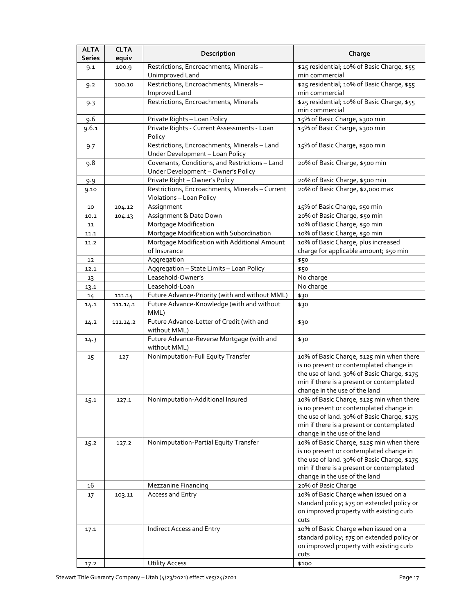| <b>ALTA</b><br><b>Series</b> | <b>CLTA</b><br>equiv | Description                                                                        | Charge                                                                                                                                                                                                            |
|------------------------------|----------------------|------------------------------------------------------------------------------------|-------------------------------------------------------------------------------------------------------------------------------------------------------------------------------------------------------------------|
| 9.1                          | 100.9                | Restrictions, Encroachments, Minerals-<br>Unimproved Land                          | \$25 residential; 10% of Basic Charge, \$55<br>min commercial                                                                                                                                                     |
| 9.2                          | 100.10               | Restrictions, Encroachments, Minerals-<br><b>Improved Land</b>                     | \$25 residential; 10% of Basic Charge, \$55<br>min commercial                                                                                                                                                     |
| 9.3                          |                      | Restrictions, Encroachments, Minerals                                              | \$25 residential; 10% of Basic Charge, \$55<br>min commercial                                                                                                                                                     |
| 9.6                          |                      | Private Rights - Loan Policy                                                       | 15% of Basic Charge, \$300 min                                                                                                                                                                                    |
| 9.6.1                        |                      | Private Rights - Current Assessments - Loan                                        | 15% of Basic Charge, \$300 min                                                                                                                                                                                    |
|                              |                      | Policy                                                                             |                                                                                                                                                                                                                   |
| 9.7                          |                      | Restrictions, Encroachments, Minerals-Land<br>Under Development - Loan Policy      | 15% of Basic Charge, \$300 min                                                                                                                                                                                    |
| 9.8                          |                      | Covenants, Conditions, and Restrictions-Land<br>Under Development - Owner's Policy | 20% of Basic Charge, \$500 min                                                                                                                                                                                    |
| 9.9                          |                      | Private Right - Owner's Policy                                                     | 20% of Basic Charge, \$500 min                                                                                                                                                                                    |
| 9.10                         |                      | Restrictions, Encroachments, Minerals - Current<br>Violations - Loan Policy        | 20% of Basic Charge, \$2,000 max                                                                                                                                                                                  |
| 10                           | 104.12               | Assignment                                                                         | 15% of Basic Charge, \$50 min                                                                                                                                                                                     |
| 10.1                         | 104.13               | Assignment & Date Down                                                             | 20% of Basic Charge, \$50 min                                                                                                                                                                                     |
| 11                           |                      | Mortgage Modification                                                              | 10% of Basic Charge, \$50 min                                                                                                                                                                                     |
| 11.1                         |                      | Mortgage Modification with Subordination                                           | 10% of Basic Charge, \$50 min                                                                                                                                                                                     |
| 11.2                         |                      | Mortgage Modification with Additional Amount                                       | 10% of Basic Charge, plus increased                                                                                                                                                                               |
|                              |                      | of Insurance                                                                       | charge for applicable amount; \$50 min                                                                                                                                                                            |
| 12                           |                      | Aggregation                                                                        | \$50                                                                                                                                                                                                              |
| 12.1                         |                      | Aggregation - State Limits - Loan Policy                                           | \$50                                                                                                                                                                                                              |
| 13                           |                      | Leasehold-Owner's                                                                  | No charge                                                                                                                                                                                                         |
| 13.1                         |                      | Leasehold-Loan                                                                     | No charge                                                                                                                                                                                                         |
| 14                           | 111.14               | Future Advance-Priority (with and without MML)                                     | \$30                                                                                                                                                                                                              |
| 14.1                         | 111.14.1             | Future Advance-Knowledge (with and without<br>MML)                                 | \$30                                                                                                                                                                                                              |
| 14.2                         | 111.14.2             | Future Advance-Letter of Credit (with and<br>without MML)                          | \$30                                                                                                                                                                                                              |
| 14.3                         |                      | Future Advance-Reverse Mortgage (with and<br>without MML)                          | \$30                                                                                                                                                                                                              |
| 15                           | 127                  | Nonimputation-Full Equity Transfer                                                 | 10% of Basic Charge, \$125 min when there<br>is no present or contemplated change in<br>the use of land. 30% of Basic Charge, \$275<br>min if there is a present or contemplated<br>change in the use of the land |
| 15.1                         | 127.1                | Nonimputation-Additional Insured                                                   | 10% of Basic Charge, \$125 min when there<br>is no present or contemplated change in<br>the use of land. 30% of Basic Charge, \$275<br>min if there is a present or contemplated<br>change in the use of the land |
| 15.2                         | 127.2                | Nonimputation-Partial Equity Transfer                                              | 10% of Basic Charge, \$125 min when there<br>is no present or contemplated change in<br>the use of land. 30% of Basic Charge, \$275<br>min if there is a present or contemplated<br>change in the use of the land |
| 16                           |                      | Mezzanine Financing                                                                | 20% of Basic Charge                                                                                                                                                                                               |
| 17                           | 103.11               | Access and Entry                                                                   | 10% of Basic Charge when issued on a<br>standard policy; \$75 on extended policy or<br>on improved property with existing curb<br>cuts                                                                            |
| 17.1                         |                      | Indirect Access and Entry                                                          | 10% of Basic Charge when issued on a<br>standard policy; \$75 on extended policy or<br>on improved property with existing curb<br>cuts                                                                            |
| 17.2                         |                      | <b>Utility Access</b>                                                              | \$100                                                                                                                                                                                                             |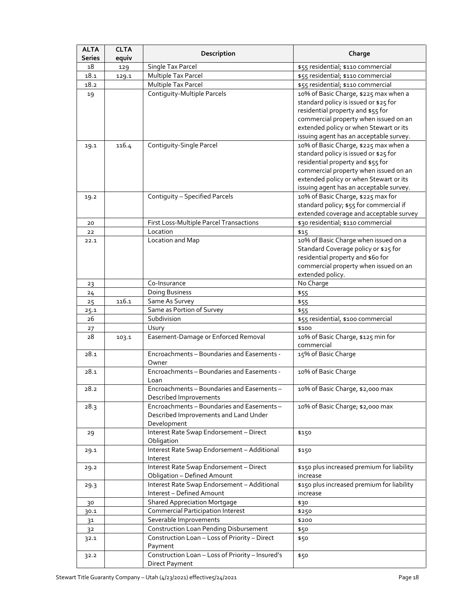| <b>ALTA</b><br>Series | <b>CLTA</b> | Description                                                                                        | Charge                                                                                                                                                                                                                                            |
|-----------------------|-------------|----------------------------------------------------------------------------------------------------|---------------------------------------------------------------------------------------------------------------------------------------------------------------------------------------------------------------------------------------------------|
| 18                    | equiv       | Single Tax Parcel                                                                                  | \$55 residential; \$110 commercial                                                                                                                                                                                                                |
| 18.1                  | 129         | Multiple Tax Parcel                                                                                | \$55 residential; \$110 commercial                                                                                                                                                                                                                |
| 18.2                  | 129.1       | Multiple Tax Parcel                                                                                | \$55 residential; \$110 commercial                                                                                                                                                                                                                |
| 19                    |             | Contiguity-Multiple Parcels                                                                        | 10% of Basic Charge, \$225 max when a<br>standard policy is issued or \$25 for<br>residential property and \$55 for<br>commercial property when issued on an<br>extended policy or when Stewart or its<br>issuing agent has an acceptable survey. |
| 19.1                  | 116.4       | Contiguity-Single Parcel                                                                           | 10% of Basic Charge, \$225 max when a<br>standard policy is issued or \$25 for<br>residential property and \$55 for<br>commercial property when issued on an<br>extended policy or when Stewart or its<br>issuing agent has an acceptable survey. |
| 19.2                  |             | Contiquity - Specified Parcels                                                                     | 10% of Basic Charge, \$225 max for<br>standard policy; \$55 for commercial if<br>extended coverage and acceptable survey                                                                                                                          |
| 20                    |             | First Loss-Multiple Parcel Transactions                                                            | \$30 residential; \$110 commercial                                                                                                                                                                                                                |
| 22<br>22.1            |             | Location<br>Location and Map                                                                       | \$15<br>10% of Basic Charge when issued on a<br>Standard Coverage policy or \$25 for<br>residential property and \$60 for<br>commercial property when issued on an<br>extended policy.                                                            |
| 23                    |             | Co-Insurance                                                                                       | No Charge                                                                                                                                                                                                                                         |
| 24                    |             | Doing Business                                                                                     | \$55                                                                                                                                                                                                                                              |
| 25                    | 116.1       | Same As Survey                                                                                     | \$55                                                                                                                                                                                                                                              |
| 25.1                  |             | Same as Portion of Survey                                                                          | \$55                                                                                                                                                                                                                                              |
| 26                    |             | Subdivision                                                                                        | \$55 residential, \$100 commercial                                                                                                                                                                                                                |
| 27                    |             | Usury                                                                                              | \$100                                                                                                                                                                                                                                             |
| 28                    | 103.1       | Easement-Damage or Enforced Removal                                                                | 10% of Basic Charge, \$125 min for<br>commercial                                                                                                                                                                                                  |
| 28.1                  |             | Encroachments - Boundaries and Easements -<br>Owner                                                | 15% of Basic Charge                                                                                                                                                                                                                               |
| 28.1                  |             | Encroachments - Boundaries and Easements -<br>Loan                                                 | 10% of Basic Charge                                                                                                                                                                                                                               |
| 28.2                  |             | Encroachments - Boundaries and Easements -<br>Described Improvements                               | 10% of Basic Charge, \$2,000 max                                                                                                                                                                                                                  |
| 28.3                  |             | Encroachments - Boundaries and Easements -<br>Described Improvements and Land Under<br>Development | 10% of Basic Charge; \$2,000 max                                                                                                                                                                                                                  |
| 29                    |             | Interest Rate Swap Endorsement - Direct<br>Obligation                                              | \$150                                                                                                                                                                                                                                             |
| 29.1                  |             | Interest Rate Swap Endorsement - Additional<br>Interest                                            | \$150                                                                                                                                                                                                                                             |
| 29.2                  |             | Interest Rate Swap Endorsement - Direct<br><b>Obligation - Defined Amount</b>                      | \$150 plus increased premium for liability<br>increase                                                                                                                                                                                            |
| 29.3                  |             | Interest Rate Swap Endorsement - Additional<br>Interest - Defined Amount                           | \$150 plus increased premium for liability<br>increase                                                                                                                                                                                            |
| 30                    |             | <b>Shared Appreciation Mortgage</b>                                                                | \$30                                                                                                                                                                                                                                              |
| 30.1                  |             | <b>Commercial Participation Interest</b>                                                           | \$250                                                                                                                                                                                                                                             |
| 31                    |             | Severable Improvements                                                                             | \$200                                                                                                                                                                                                                                             |
| 3 <sup>2</sup>        |             | <b>Construction Loan Pending Disbursement</b>                                                      | \$50                                                                                                                                                                                                                                              |
| 32.1                  |             | Construction Loan - Loss of Priority - Direct<br>Payment                                           | \$50                                                                                                                                                                                                                                              |
| 32.2                  |             | Construction Loan - Loss of Priority - Insured's<br>Direct Payment                                 | \$50                                                                                                                                                                                                                                              |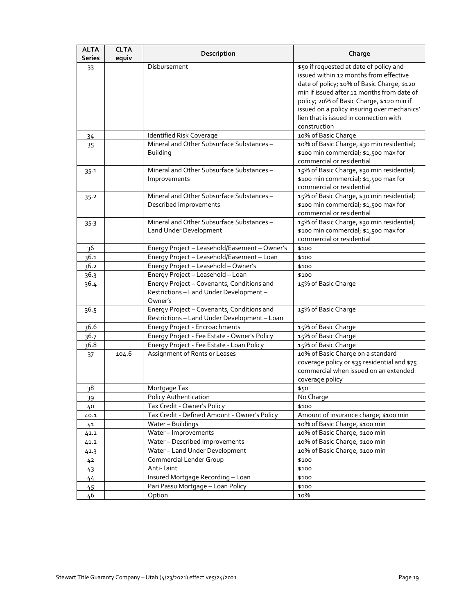| <b>ALTA</b><br>Series | <b>CLTA</b><br>equiv | Description                                                                                      | Charge                                                                                                                                                                                                                                                                                                                              |
|-----------------------|----------------------|--------------------------------------------------------------------------------------------------|-------------------------------------------------------------------------------------------------------------------------------------------------------------------------------------------------------------------------------------------------------------------------------------------------------------------------------------|
| 33                    |                      | Disbursement                                                                                     | \$50 if requested at date of policy and<br>issued within 12 months from effective<br>date of policy; 10% of Basic Charge, \$120<br>min if issued after 12 months from date of<br>policy; 20% of Basic Charge, \$120 min if<br>issued on a policy insuring over mechanics'<br>lien that is issued in connection with<br>construction |
| 34                    |                      | Identified Risk Coverage                                                                         | 10% of Basic Charge                                                                                                                                                                                                                                                                                                                 |
| 35                    |                      | Mineral and Other Subsurface Substances-<br><b>Building</b>                                      | 10% of Basic Charge, \$30 min residential;<br>\$100 min commercial; \$1,500 max for<br>commercial or residential                                                                                                                                                                                                                    |
| 35.1                  |                      | Mineral and Other Subsurface Substances-<br>Improvements                                         | 15% of Basic Charge, \$30 min residential;<br>\$100 min commercial; \$1,500 max for<br>commercial or residential                                                                                                                                                                                                                    |
| 35.2                  |                      | Mineral and Other Subsurface Substances-<br>Described Improvements                               | 15% of Basic Charge, \$30 min residential;<br>\$100 min commercial; \$1,500 max for<br>commercial or residential                                                                                                                                                                                                                    |
| 35.3                  |                      | Mineral and Other Subsurface Substances-<br>Land Under Development                               | 15% of Basic Charge, \$30 min residential;<br>\$100 min commercial; \$1,500 max for<br>commercial or residential                                                                                                                                                                                                                    |
| 36                    |                      | Energy Project - Leasehold/Easement - Owner's                                                    | \$100                                                                                                                                                                                                                                                                                                                               |
| 36.1                  |                      | Energy Project - Leasehold/Easement - Loan                                                       | \$100                                                                                                                                                                                                                                                                                                                               |
| 36.2                  |                      | Energy Project - Leasehold - Owner's                                                             | \$100                                                                                                                                                                                                                                                                                                                               |
| 36.3                  |                      | Energy Project - Leasehold - Loan                                                                | \$100                                                                                                                                                                                                                                                                                                                               |
| 36.4                  |                      | Energy Project - Covenants, Conditions and<br>Restrictions - Land Under Development -<br>Owner's | 15% of Basic Charge                                                                                                                                                                                                                                                                                                                 |
| 36.5                  |                      | Energy Project - Covenants, Conditions and<br>Restrictions-Land Under Development-Loan           | 15% of Basic Charge                                                                                                                                                                                                                                                                                                                 |
| 36.6                  |                      | Energy Project - Encroachments                                                                   | 15% of Basic Charge                                                                                                                                                                                                                                                                                                                 |
| 36.7                  |                      | Energy Project - Fee Estate - Owner's Policy                                                     | 15% of Basic Charge                                                                                                                                                                                                                                                                                                                 |
| 36.8                  |                      | Energy Project - Fee Estate - Loan Policy                                                        | 15% of Basic Charge                                                                                                                                                                                                                                                                                                                 |
| 37                    | 104.6                | Assignment of Rents or Leases                                                                    | 10% of Basic Charge on a standard<br>coverage policy or \$35 residential and \$75<br>commercial when issued on an extended<br>coverage policy                                                                                                                                                                                       |
| 38                    |                      | Mortgage Tax                                                                                     | \$50                                                                                                                                                                                                                                                                                                                                |
| 39                    |                      | Policy Authentication                                                                            | No Charge                                                                                                                                                                                                                                                                                                                           |
| 40                    |                      | Tax Credit - Owner's Policy                                                                      | \$100                                                                                                                                                                                                                                                                                                                               |
| 40.1                  |                      | Tax Credit - Defined Amount - Owner's Policy                                                     | Amount of insurance charge; \$100 min                                                                                                                                                                                                                                                                                               |
| 41                    |                      | Water-Buildings                                                                                  | 10% of Basic Charge, \$100 min                                                                                                                                                                                                                                                                                                      |
| 41.1                  |                      | Water-Improvements                                                                               | 10% of Basic Charge, \$100 min                                                                                                                                                                                                                                                                                                      |
| 41.2                  |                      | Water - Described Improvements                                                                   | 10% of Basic Charge, \$100 min                                                                                                                                                                                                                                                                                                      |
| 41.3                  |                      | Water-Land Under Development                                                                     | 10% of Basic Charge, \$100 min                                                                                                                                                                                                                                                                                                      |
| 42                    |                      | Commercial Lender Group                                                                          | \$100                                                                                                                                                                                                                                                                                                                               |
| 43                    |                      | Anti-Taint                                                                                       | \$100                                                                                                                                                                                                                                                                                                                               |
| 44                    |                      | Insured Mortgage Recording - Loan                                                                | \$100                                                                                                                                                                                                                                                                                                                               |
| 45                    |                      | Pari Passu Mortgage - Loan Policy                                                                | \$100                                                                                                                                                                                                                                                                                                                               |
| 46                    |                      | Option                                                                                           | 10%                                                                                                                                                                                                                                                                                                                                 |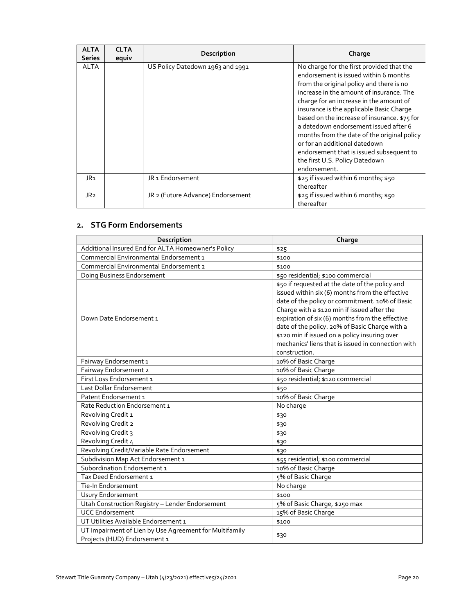| <b>ALTA</b><br><b>Series</b> | <b>CLTA</b><br>equiv | Description                       | Charge                                                                                                                                                                                                                                                                                                                                                                                                                                                                                                                                   |
|------------------------------|----------------------|-----------------------------------|------------------------------------------------------------------------------------------------------------------------------------------------------------------------------------------------------------------------------------------------------------------------------------------------------------------------------------------------------------------------------------------------------------------------------------------------------------------------------------------------------------------------------------------|
| <b>ALTA</b>                  |                      | US Policy Datedown 1963 and 1991  | No charge for the first provided that the<br>endorsement is issued within 6 months<br>from the original policy and there is no<br>increase in the amount of insurance. The<br>charge for an increase in the amount of<br>insurance is the applicable Basic Charge<br>based on the increase of insurance. \$75 for<br>a datedown endorsement issued after 6<br>months from the date of the original policy<br>or for an additional datedown<br>endorsement that is issued subsequent to<br>the first U.S. Policy Datedown<br>endorsement. |
| JR <sub>1</sub>              |                      | JR <sub>1</sub> Endorsement       | \$25 if issued within 6 months; \$50<br>thereafter                                                                                                                                                                                                                                                                                                                                                                                                                                                                                       |
| JR <sub>2</sub>              |                      | JR 2 (Future Advance) Endorsement | \$25 if issued within 6 months; \$50<br>thereafter                                                                                                                                                                                                                                                                                                                                                                                                                                                                                       |

# **2. STG Form Endorsements**

| Description                                                                            | Charge                                                                                                                                                                                                                                                                                                                                                                                                                           |
|----------------------------------------------------------------------------------------|----------------------------------------------------------------------------------------------------------------------------------------------------------------------------------------------------------------------------------------------------------------------------------------------------------------------------------------------------------------------------------------------------------------------------------|
| Additional Insured End for ALTA Homeowner's Policy                                     | \$25                                                                                                                                                                                                                                                                                                                                                                                                                             |
| Commercial Environmental Endorsement 1                                                 | \$100                                                                                                                                                                                                                                                                                                                                                                                                                            |
| <b>Commercial Environmental Endorsement 2</b>                                          | \$100                                                                                                                                                                                                                                                                                                                                                                                                                            |
| Doing Business Endorsement                                                             | \$50 residential; \$100 commercial                                                                                                                                                                                                                                                                                                                                                                                               |
| Down Date Endorsement 1                                                                | \$50 if requested at the date of the policy and<br>issued within six (6) months from the effective<br>date of the policy or commitment. 10% of Basic<br>Charge with a \$120 min if issued after the<br>expiration of six (6) months from the effective<br>date of the policy. 20% of Basic Charge with a<br>\$120 min if issued on a policy insuring over<br>mechanics' liens that is issued in connection with<br>construction. |
| Fairway Endorsement 1                                                                  | 10% of Basic Charge                                                                                                                                                                                                                                                                                                                                                                                                              |
| Fairway Endorsement 2                                                                  | 10% of Basic Charge                                                                                                                                                                                                                                                                                                                                                                                                              |
| First Loss Endorsement 1                                                               | \$50 residential; \$120 commercial                                                                                                                                                                                                                                                                                                                                                                                               |
| Last Dollar Endorsement                                                                | \$50                                                                                                                                                                                                                                                                                                                                                                                                                             |
| Patent Endorsement 1                                                                   | 10% of Basic Charge                                                                                                                                                                                                                                                                                                                                                                                                              |
| Rate Reduction Endorsement 1                                                           | No charge                                                                                                                                                                                                                                                                                                                                                                                                                        |
| Revolving Credit 1                                                                     | \$30                                                                                                                                                                                                                                                                                                                                                                                                                             |
| Revolving Credit 2                                                                     | \$30                                                                                                                                                                                                                                                                                                                                                                                                                             |
| Revolving Credit 3                                                                     | \$30                                                                                                                                                                                                                                                                                                                                                                                                                             |
| Revolving Credit 4                                                                     | \$30                                                                                                                                                                                                                                                                                                                                                                                                                             |
| Revolving Credit/Variable Rate Endorsement                                             | \$30                                                                                                                                                                                                                                                                                                                                                                                                                             |
| Subdivision Map Act Endorsement 1                                                      | \$55 residential; \$100 commercial                                                                                                                                                                                                                                                                                                                                                                                               |
| Subordination Endorsement 1                                                            | 10% of Basic Charge                                                                                                                                                                                                                                                                                                                                                                                                              |
| Tax Deed Endorsement 1                                                                 | 5% of Basic Charge                                                                                                                                                                                                                                                                                                                                                                                                               |
| Tie-In Endorsement                                                                     | No charge                                                                                                                                                                                                                                                                                                                                                                                                                        |
| <b>Usury Endorsement</b>                                                               | \$100                                                                                                                                                                                                                                                                                                                                                                                                                            |
| Utah Construction Registry - Lender Endorsement                                        | 5% of Basic Charge, \$250 max                                                                                                                                                                                                                                                                                                                                                                                                    |
| <b>UCC Endorsement</b>                                                                 | 15% of Basic Charge                                                                                                                                                                                                                                                                                                                                                                                                              |
| UT Utilities Available Endorsement 1                                                   | \$100                                                                                                                                                                                                                                                                                                                                                                                                                            |
| UT Impairment of Lien by Use Agreement for Multifamily<br>Projects (HUD) Endorsement 1 | \$30                                                                                                                                                                                                                                                                                                                                                                                                                             |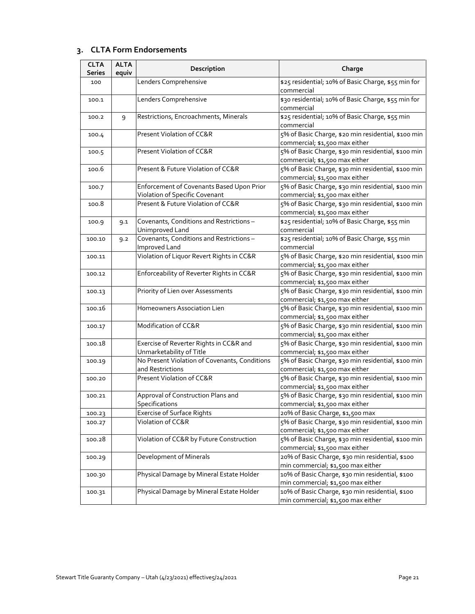# **3. CLTA Form Endorsements**

| <b>CLTA</b><br><b>Series</b> | <b>ALTA</b><br>equiv | Description                                                                 | Charge                                                                                 |
|------------------------------|----------------------|-----------------------------------------------------------------------------|----------------------------------------------------------------------------------------|
| 100                          |                      | Lenders Comprehensive                                                       | \$25 residential; 10% of Basic Charge, \$55 min for<br>commercial                      |
| 100.1                        |                      | Lenders Comprehensive                                                       | \$30 residential; 10% of Basic Charge, \$55 min for<br>commercial                      |
| 100.2                        | 9                    | Restrictions, Encroachments, Minerals                                       | \$25 residential; 10% of Basic Charge, \$55 min<br>commercial                          |
| 100.4                        |                      | Present Violation of CC&R                                                   | 5% of Basic Charge, \$20 min residential, \$100 min<br>commercial; \$1,500 max either  |
| 100.5                        |                      | Present Violation of CC&R                                                   | 5% of Basic Charge, \$30 min residential, \$100 min<br>commercial; \$1,500 max either  |
| 100.6                        |                      | Present & Future Violation of CC&R                                          | 5% of Basic Charge, \$30 min residential, \$100 min<br>commercial; \$1,500 max either  |
| 100.7                        |                      | Enforcement of Covenants Based Upon Prior<br>Violation of Specific Covenant | 5% of Basic Charge, \$30 min residential, \$100 min<br>commercial; \$1,500 max either  |
| 100.8                        |                      | Present & Future Violation of CC&R                                          | 5% of Basic Charge, \$30 min residential, \$100 min<br>commercial; \$1,500 max either  |
| 100.9                        | 9.1                  | Covenants, Conditions and Restrictions-<br>Unimproved Land                  | \$25 residential; 10% of Basic Charge, \$55 min<br>commercial                          |
| 100.10                       | 9.2                  | Covenants, Conditions and Restrictions-<br>Improved Land                    | \$25 residential; 10% of Basic Charge, \$55 min<br>commercial                          |
| 100.11                       |                      | Violation of Liquor Revert Rights in CC&R                                   | 5% of Basic Charge, \$20 min residential, \$100 min<br>commercial; \$1,500 max either  |
| 100.12                       |                      | Enforceability of Reverter Rights in CC&R                                   | 5% of Basic Charge, \$30 min residential, \$100 min<br>commercial; \$1,500 max either  |
| 100.13                       |                      | Priority of Lien over Assessments                                           | 5% of Basic Charge, \$30 min residential, \$100 min<br>commercial; \$1,500 max either  |
| 100.16                       |                      | Homeowners Association Lien                                                 | 5% of Basic Charge, \$30 min residential, \$100 min<br>commercial; \$1,500 max either  |
| 100.17                       |                      | Modification of CC&R                                                        | 5% of Basic Charge, \$30 min residential, \$100 min<br>commercial; \$1,500 max either  |
| 100.18                       |                      | Exercise of Reverter Rights in CC&R and<br>Unmarketability of Title         | 5% of Basic Charge, \$30 min residential, \$100 min<br>commercial; \$1,500 max either  |
| 100.19                       |                      | No Present Violation of Covenants, Conditions<br>and Restrictions           | 5% of Basic Charge, \$30 min residential, \$100 min<br>commercial; \$1,500 max either  |
| 100.20                       |                      | Present Violation of CC&R                                                   | 5% of Basic Charge, \$30 min residential, \$100 min<br>commercial; \$1,500 max either  |
| 100.21                       |                      | Approval of Construction Plans and<br>Specifications                        | 5% of Basic Charge, \$30 min residential, \$100 min<br>commercial; \$1,500 max either  |
| 100.23                       |                      | <b>Exercise of Surface Rights</b>                                           | 20% of Basic Charge, \$1,500 max                                                       |
| 100.27                       |                      | Violation of CC&R                                                           | 5% of Basic Charge, \$30 min residential, \$100 min<br>commercial; \$1,500 max either  |
| 100.28                       |                      | Violation of CC&R by Future Construction                                    | 5% of Basic Charge, \$30 min residential, \$100 min<br>commercial; \$1,500 max either  |
| 100.29                       |                      | <b>Development of Minerals</b>                                              | 20% of Basic Charge, \$30 min residential, \$100<br>min commercial; \$1,500 max either |
| 100.30                       |                      | Physical Damage by Mineral Estate Holder                                    | 10% of Basic Charge, \$30 min residential, \$100<br>min commercial; \$1,500 max either |
| 100.31                       |                      | Physical Damage by Mineral Estate Holder                                    | 10% of Basic Charge, \$30 min residential, \$100<br>min commercial; \$1,500 max either |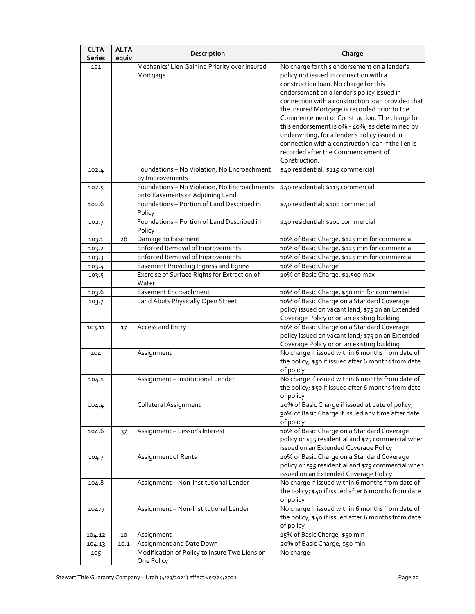| No charge for this endorsement on a lender's<br>Mechanics' Lien Gaining Priority over Insured<br>101<br>policy not issued in connection with a<br>Mortgage<br>construction loan. No charge for this |  |
|-----------------------------------------------------------------------------------------------------------------------------------------------------------------------------------------------------|--|
|                                                                                                                                                                                                     |  |
|                                                                                                                                                                                                     |  |
|                                                                                                                                                                                                     |  |
| endorsement on a lender's policy issued in                                                                                                                                                          |  |
| connection with a construction loan provided that                                                                                                                                                   |  |
| the Insured Mortgage is recorded prior to the                                                                                                                                                       |  |
| Commencement of Construction. The charge for                                                                                                                                                        |  |
| this endorsement is 0% - 40%, as determined by                                                                                                                                                      |  |
| underwriting, for a lender's policy issued in                                                                                                                                                       |  |
| connection with a construction loan if the lien is                                                                                                                                                  |  |
| recorded after the Commencement of                                                                                                                                                                  |  |
| Construction.                                                                                                                                                                                       |  |
| \$40 residential; \$115 commercial<br>Foundations - No Violation, No Encroachment<br>102.4<br>by Improvements                                                                                       |  |
| Foundations - No Violation, No Encroachments<br>\$40 residential; \$115 commercial<br>102.5                                                                                                         |  |
| onto Easements or Adjoining Land                                                                                                                                                                    |  |
| Foundations - Portion of Land Described in<br>\$40 residential; \$100 commercial<br>102.6<br>Policy                                                                                                 |  |
| Foundations - Portion of Land Described in<br>\$40 residential; \$100 commercial<br>102.7                                                                                                           |  |
| Policy                                                                                                                                                                                              |  |
| 10% of Basic Charge, \$125 min for commercial<br>28<br>Damage to Easement<br>103.1                                                                                                                  |  |
| <b>Enforced Removal of Improvements</b><br>10% of Basic Charge, \$125 min for commercial<br>103.2                                                                                                   |  |
| <b>Enforced Removal of Improvements</b><br>10% of Basic Charge, \$125 min for commercial<br>103.3                                                                                                   |  |
| Easement Providing Ingress and Egress<br>10% of Basic Charge<br>103.4                                                                                                                               |  |
| Exercise of Surface Rights for Extraction of<br>10% of Basic Charge, \$1,500 max<br>103.5<br>Water                                                                                                  |  |
| Easement Encroachment<br>10% of Basic Charge, \$50 min for commercial<br>103.6                                                                                                                      |  |
| 10% of Basic Charge on a Standard Coverage<br>Land Abuts Physically Open Street<br>103.7                                                                                                            |  |
| policy issued on vacant land; \$75 on an Extended                                                                                                                                                   |  |
| Coverage Policy or on an existing building                                                                                                                                                          |  |
| 10% of Basic Charge on a Standard Coverage<br>Access and Entry<br>103.11<br>17                                                                                                                      |  |
| policy issued on vacant land; \$75 on an Extended                                                                                                                                                   |  |
| Coverage Policy or on an existing building                                                                                                                                                          |  |
| No charge if issued within 6 months from date of<br>Assignment<br>104                                                                                                                               |  |
| the policy; \$50 if issued after 6 months from date<br>of policy                                                                                                                                    |  |
| No charge if issued within 6 months from date of<br>Assignment - Institutional Lender<br>104.1                                                                                                      |  |
| the policy; \$50 if issued after 6 months from date                                                                                                                                                 |  |
| of policy                                                                                                                                                                                           |  |
| 20% of Basic Charge if issued at date of policy;<br>Collateral Assignment<br>104.4                                                                                                                  |  |
| 30% of Basic Charge if issued any time after date                                                                                                                                                   |  |
| of policy                                                                                                                                                                                           |  |
| 10% of Basic Charge on a Standard Coverage<br>Assignment - Lessor's Interest<br>104.6<br>37                                                                                                         |  |
| policy or \$35 residential and \$75 commercial when                                                                                                                                                 |  |
| issued on an Extended Coverage Policy                                                                                                                                                               |  |
| 10% of Basic Charge on a Standard Coverage<br>Assignment of Rents<br>104.7                                                                                                                          |  |
| policy or \$35 residential and \$75 commercial when                                                                                                                                                 |  |
| issued on an Extended Coverage Policy                                                                                                                                                               |  |
| No charge if issued within 6 months from date of<br>Assignment - Non-Institutional Lender<br>104.8                                                                                                  |  |
| the policy; \$40 if issued after 6 months from date<br>of policy                                                                                                                                    |  |
| No charge if issued within 6 months from date of<br>Assignment - Non-Institutional Lender<br>104.9                                                                                                  |  |
| the policy; \$40 if issued after 6 months from date                                                                                                                                                 |  |
| of policy                                                                                                                                                                                           |  |
| 15% of Basic Charge, \$50 min<br>Assignment<br>10<br>104.12                                                                                                                                         |  |
| 20% of Basic Charge, \$50 min<br>Assignment and Date Down<br>104.13<br>10.1                                                                                                                         |  |
| Modification of Policy to Insure Two Liens on<br>No charge<br>105<br>One Policy                                                                                                                     |  |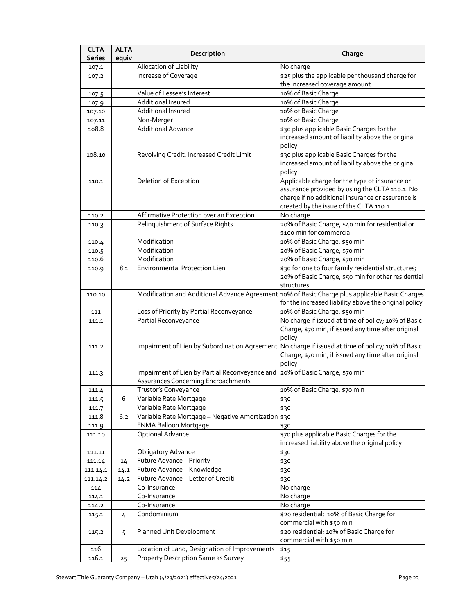| <b>CLTA</b><br><b>Series</b> | <b>ALTA</b><br>equiv | Description                                                                  | Charge                                                                                            |
|------------------------------|----------------------|------------------------------------------------------------------------------|---------------------------------------------------------------------------------------------------|
| 107.1                        |                      | Allocation of Liability                                                      | No charge                                                                                         |
| 107.2                        |                      | Increase of Coverage                                                         | \$25 plus the applicable per thousand charge for                                                  |
|                              |                      |                                                                              | the increased coverage amount                                                                     |
| 107.5                        |                      | Value of Lessee's Interest                                                   | 10% of Basic Charge                                                                               |
| 107.9                        |                      | <b>Additional Insured</b>                                                    | 10% of Basic Charge                                                                               |
| 107.10                       |                      | <b>Additional Insured</b>                                                    | 10% of Basic Charge                                                                               |
| 107.11                       |                      | Non-Merger                                                                   | 10% of Basic Charge                                                                               |
| 108.8                        |                      | <b>Additional Advance</b>                                                    | \$30 plus applicable Basic Charges for the                                                        |
|                              |                      |                                                                              | increased amount of liability above the original                                                  |
|                              |                      |                                                                              | policy                                                                                            |
| 108.10                       |                      | Revolving Credit, Increased Credit Limit                                     | \$30 plus applicable Basic Charges for the                                                        |
|                              |                      |                                                                              | increased amount of liability above the original                                                  |
|                              |                      |                                                                              | policy                                                                                            |
| 110.1                        |                      | Deletion of Exception                                                        | Applicable charge for the type of insurance or                                                    |
|                              |                      |                                                                              | assurance provided by using the CLTA 110.1. No                                                    |
|                              |                      |                                                                              | charge if no additional insurance or assurance is                                                 |
|                              |                      |                                                                              | created by the issue of the CLTA 110.1                                                            |
| 110.2                        |                      | Affirmative Protection over an Exception                                     | No charge                                                                                         |
| 110.3                        |                      | Relinquishment of Surface Rights                                             | 20% of Basic Charge, \$40 min for residential or                                                  |
|                              |                      |                                                                              | \$100 min for commercial                                                                          |
| 110.4                        |                      | Modification                                                                 | 10% of Basic Charge, \$50 min                                                                     |
| 110.5                        |                      | Modification                                                                 | 20% of Basic Charge, \$70 min                                                                     |
| 110.6                        |                      | Modification                                                                 | 20% of Basic Charge, \$70 min                                                                     |
| 110.9                        | 8.1                  | Environmental Protection Lien                                                | \$30 for one to four family residential structures;                                               |
|                              |                      |                                                                              | 20% of Basic Charge, \$50 min for other residential                                               |
|                              |                      |                                                                              | structures                                                                                        |
| 110.10                       |                      |                                                                              | Modification and Additional Advance Agreement 10% of Basic Charge plus applicable Basic Charges   |
|                              |                      |                                                                              | for the increased liability above the original policy                                             |
| 111                          |                      | Loss of Priority by Partial Reconveyance                                     | 10% of Basic Charge, \$50 min                                                                     |
| 111.1                        |                      | Partial Reconveyance                                                         | No charge if issued at time of policy; 10% of Basic                                               |
|                              |                      |                                                                              | Charge, \$70 min, if issued any time after original                                               |
|                              |                      |                                                                              | policy                                                                                            |
| 111.2                        |                      |                                                                              | Impairment of Lien by Subordination Agreement No charge if issued at time of policy; 10% of Basic |
|                              |                      |                                                                              | Charge, \$70 min, if issued any time after original                                               |
|                              |                      |                                                                              | policy                                                                                            |
| 111.3                        |                      | Impairment of Lien by Partial Reconveyance and 20% of Basic Charge, \$70 min |                                                                                                   |
|                              |                      | Assurances Concerning Encroachments                                          |                                                                                                   |
| 111.4                        |                      | Trustor's Conveyance                                                         | 10% of Basic Charge, \$70 min                                                                     |
| 111.5                        | 6                    | Variable Rate Mortgage                                                       | \$30                                                                                              |
| 111.7                        |                      | Variable Rate Mortgage                                                       | \$30                                                                                              |
| 111.8                        | 6.2                  | Variable Rate Mortgage - Negative Amortization \$30                          |                                                                                                   |
| 111.9                        |                      | FNMA Balloon Mortgage                                                        | \$30                                                                                              |
| 111.10                       |                      | Optional Advance                                                             | \$70 plus applicable Basic Charges for the                                                        |
|                              |                      |                                                                              | increased liability above the original policy                                                     |
| 111.11                       |                      | <b>Obligatory Advance</b>                                                    | \$30                                                                                              |
| 111.14                       | 14                   | Future Advance - Priority                                                    | \$30                                                                                              |
| 111.14.1                     | 14.1                 | Future Advance - Knowledge                                                   | \$30                                                                                              |
| 111.14.2                     | 14.2                 | Future Advance - Letter of Crediti                                           | \$30                                                                                              |
| 114                          |                      | Co-Insurance                                                                 | No charge                                                                                         |
| 114.1                        |                      | Co-Insurance                                                                 | No charge                                                                                         |
| 114.2                        |                      | Co-Insurance                                                                 | No charge                                                                                         |
| 115.1                        | 4                    | Condominium                                                                  | \$20 residential; 10% of Basic Charge for                                                         |
|                              |                      |                                                                              | commercial with \$50 min                                                                          |
| 115.2                        | 5                    | Planned Unit Development                                                     | \$20 residential; 10% of Basic Charge for                                                         |
|                              |                      |                                                                              | commercial with \$50 min                                                                          |
| 116                          |                      | Location of Land, Designation of Improvements                                | \$15                                                                                              |
| 116.1                        | 25                   | <b>Property Description Same as Survey</b>                                   | \$55                                                                                              |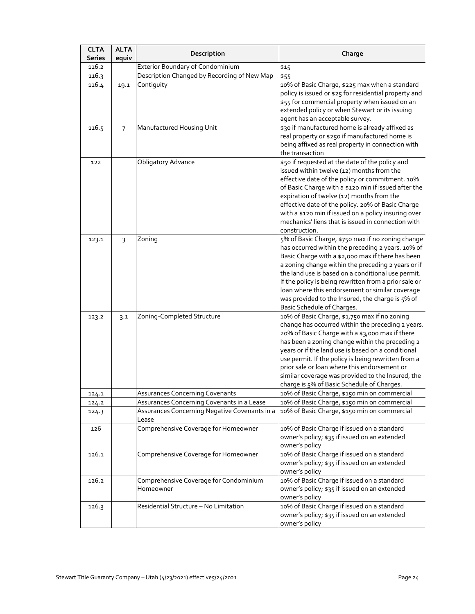| <b>CLTA</b><br><b>Series</b> | <b>ALTA</b><br>equiv | Description                                            | Charge                                                                                                                                                                                                                                                                                                                                                                                                                                                                   |
|------------------------------|----------------------|--------------------------------------------------------|--------------------------------------------------------------------------------------------------------------------------------------------------------------------------------------------------------------------------------------------------------------------------------------------------------------------------------------------------------------------------------------------------------------------------------------------------------------------------|
| 116.2                        |                      | <b>Exterior Boundary of Condominium</b>                | \$15                                                                                                                                                                                                                                                                                                                                                                                                                                                                     |
| 116.3                        |                      | Description Changed by Recording of New Map            | \$55                                                                                                                                                                                                                                                                                                                                                                                                                                                                     |
| 116.4                        | 19.1                 | Contiguity                                             | 10% of Basic Charge, \$225 max when a standard<br>policy is issued or \$25 for residential property and<br>\$55 for commercial property when issued on an<br>extended policy or when Stewart or its issuing<br>agent has an acceptable survey.                                                                                                                                                                                                                           |
| 116.5                        | 7                    | Manufactured Housing Unit                              | \$30 if manufactured home is already affixed as<br>real property or \$250 if manufactured home is<br>being affixed as real property in connection with<br>the transaction                                                                                                                                                                                                                                                                                                |
| 122                          |                      | <b>Obligatory Advance</b>                              | \$50 if requested at the date of the policy and<br>issued within twelve (12) months from the<br>effective date of the policy or commitment. 10%<br>of Basic Charge with a \$120 min if issued after the<br>expiration of twelve (12) months from the<br>effective date of the policy. 20% of Basic Charge<br>with a \$120 min if issued on a policy insuring over<br>mechanics' liens that is issued in connection with<br>construction.                                 |
| 123.1                        | $\overline{3}$       | Zoning                                                 | 5% of Basic Charge, \$750 max if no zoning change<br>has occurred within the preceding 2 years. 10% of<br>Basic Charge with a \$2,000 max if there has been<br>a zoning change within the preceding 2 years or if<br>the land use is based on a conditional use permit.<br>If the policy is being rewritten from a prior sale or<br>loan where this endorsement or similar coverage<br>was provided to the Insured, the charge is 5% of<br>Basic Schedule of Charges.    |
| 123.2                        | 3.1                  | Zoning-Completed Structure                             | 10% of Basic Charge, \$1,750 max if no zoning<br>change has occurred within the preceding 2 years.<br>20% of Basic Charge with a \$3,000 max if there<br>has been a zoning change within the preceding 2<br>years or if the land use is based on a conditional<br>use permit. If the policy is being rewritten from a<br>prior sale or loan where this endorsement or<br>similar coverage was provided to the Insured, the<br>charge is 5% of Basic Schedule of Charges. |
| 124.1                        |                      | Assurances Concerning Covenants                        | 10% of Basic Charge, \$150 min on commercial                                                                                                                                                                                                                                                                                                                                                                                                                             |
| 124.2                        |                      | Assurances Concerning Covenants in a Lease             | 10% of Basic Charge, \$150 min on commercial                                                                                                                                                                                                                                                                                                                                                                                                                             |
| 124.3                        |                      | Assurances Concerning Negative Covenants in a<br>Lease | 10% of Basic Charge, \$150 min on commercial                                                                                                                                                                                                                                                                                                                                                                                                                             |
| 126                          |                      | Comprehensive Coverage for Homeowner                   | 10% of Basic Charge if issued on a standard<br>owner's policy; \$35 if issued on an extended<br>owner's policy                                                                                                                                                                                                                                                                                                                                                           |
| 126.1                        |                      | Comprehensive Coverage for Homeowner                   | 10% of Basic Charge if issued on a standard<br>owner's policy; \$35 if issued on an extended<br>owner's policy                                                                                                                                                                                                                                                                                                                                                           |
| 126.2                        |                      | Comprehensive Coverage for Condominium<br>Homeowner    | 10% of Basic Charge if issued on a standard<br>owner's policy; \$35 if issued on an extended<br>owner's policy                                                                                                                                                                                                                                                                                                                                                           |
| 126.3                        |                      | Residential Structure - No Limitation                  | 10% of Basic Charge if issued on a standard<br>owner's policy; \$35 if issued on an extended<br>owner's policy                                                                                                                                                                                                                                                                                                                                                           |